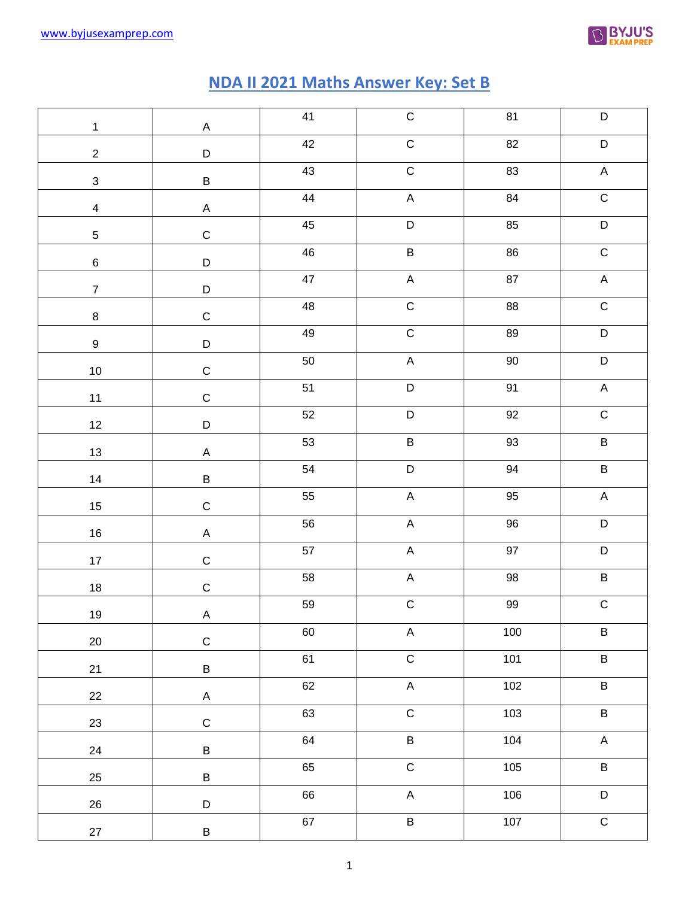

## **NDA II 2021 Maths Answer Key: Set B**

| $\mathbf{1}$      | $\mathsf A$                            | 41 | ${\bf C}$                 | 81     | $\mathsf D$    |
|-------------------|----------------------------------------|----|---------------------------|--------|----------------|
| $\overline{c}$    | $\mathsf D$                            | 42 | ${\bf C}$                 | 82     | $\mathsf D$    |
| $\mathbf{3}$      | $\sf B$                                | 43 | $\mathsf C$               | 83     | $\mathsf A$    |
| $\overline{4}$    | $\mathsf A$                            | 44 | $\boldsymbol{\mathsf{A}}$ | 84     | ${\bf C}$      |
| $\overline{5}$    | $\mathbf C$                            | 45 | $\mathsf D$               | 85     | $\mathsf D$    |
| $\,6$             | $\mathsf D$                            | 46 | $\sf B$                   | 86     | ${\bf C}$      |
| $\overline{7}$    | $\mathsf D$                            | 47 | $\boldsymbol{\mathsf{A}}$ | 87     | $\mathsf A$    |
| $\bf 8$           | $\mathsf C$                            | 48 | $\mathsf C$               | 88     | ${\bf C}$      |
| $\boldsymbol{9}$  | $\mathsf D$                            | 49 | ${\bf C}$                 | 89     | $\mathsf D$    |
| $10\,$            | $\mathsf C$                            | 50 | $\mathsf A$               | $90\,$ | $\mathsf D$    |
| 11                | $\mathsf C$                            | 51 | $\mathsf D$               | 91     | $\mathsf A$    |
| $12 \overline{ }$ | $\mathsf D$                            | 52 | $\mathsf D$               | 92     | ${\bf C}$      |
| 13                | $\mathsf A$                            | 53 | $\sf B$                   | 93     | $\sf B$        |
| 14                | $\sf B$                                | 54 | $\mathsf D$               | 94     | $\sf B$        |
| 15                | $\mathsf C$                            | 55 | $\mathsf A$               | 95     | $\mathsf A$    |
| 16                | $\mathsf A$                            | 56 | $\mathsf A$               | 96     | $\mathsf D$    |
| 17                | $\mathsf C$                            | 57 | $\mathsf A$               | 97     | $\mathsf D$    |
| 18                | $\mathsf C$                            | 58 | $\mathsf A$               | $98\,$ | $\sf B$        |
| 19                | $\sf A$                                | 59 | ${\bf C}$                 | 99     | $\mathsf C$    |
| 20                | $\mathsf C$                            | 60 | $\boldsymbol{\mathsf{A}}$ | 100    | $\sf B$        |
|                   |                                        | 61 | $\overline{C}$            | 101    | $\overline{B}$ |
| 21                | B                                      | 62 | $\mathsf A$               | 102    | $\overline{B}$ |
| 22                | $\boldsymbol{\mathsf{A}}$<br>${\bf C}$ | 63 | $\overline{C}$            | 103    | $\overline{B}$ |
| 23                |                                        | 64 | $\, {\bf B} \,$           | 104    | $\mathsf A$    |
| 24                | $\sf B$                                | 65 | $\overline{C}$            | 105    | $\overline{B}$ |
| 25                | $\sf B$                                | 66 | $\mathsf A$               | 106    | $\overline{D}$ |
| 26                | $\mathsf D$                            | 67 | $\sf B$                   | $107$  | $\overline{C}$ |
| $27\,$            | $\sf B$                                |    |                           |        |                |